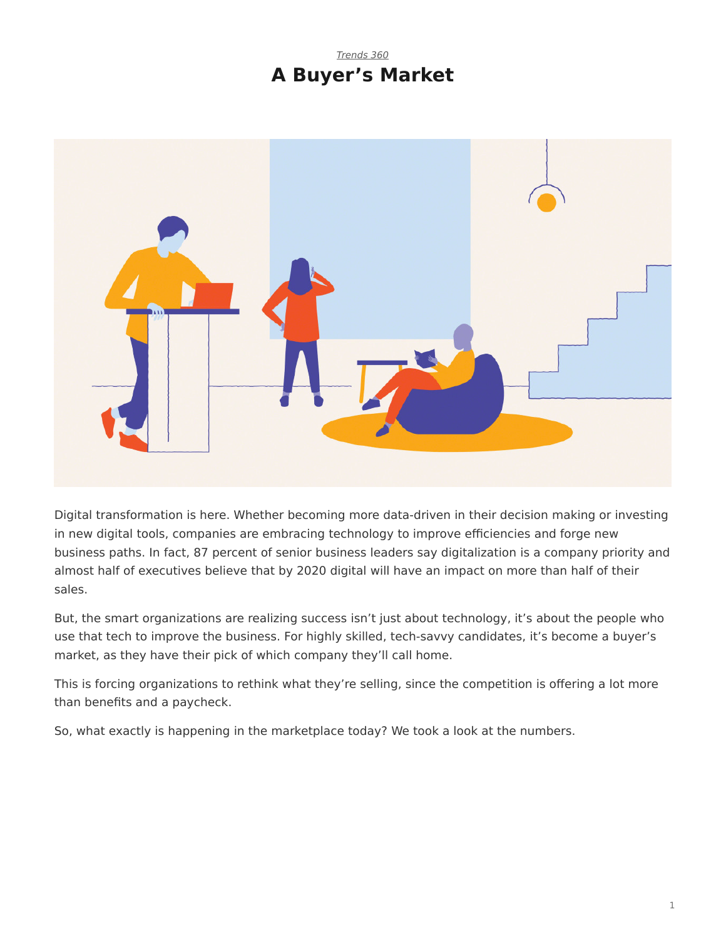## *[Trends 360](https://www.steelcase.com/research/topics/trends-360/)* **A Buyer's Market**

<span id="page-0-0"></span>

Digital transformation is here. Whether becoming more data-driven in their decision making or investing in new digital tools, companies are embracing technology to improve efficiencies and forge new business paths. In fact, 87 percent of senior business leaders say digitalization is a company priority and almost half of executives believe that by 2020 digital will have an impact on more than half of their sales.

But, the smart organizations are realizing success isn't just about technology, it's about the people who use that tech to improve the business. For highly skilled, tech-savvy candidates, it's become a buyer's market, as they have their pick of which company they'll call home.

This is forcing organizations to rethink what they're selling, since the competition is offering a lot more than benefits and a paycheck.

So, what exactly is happening in the marketplace today? We took a look at the numbers.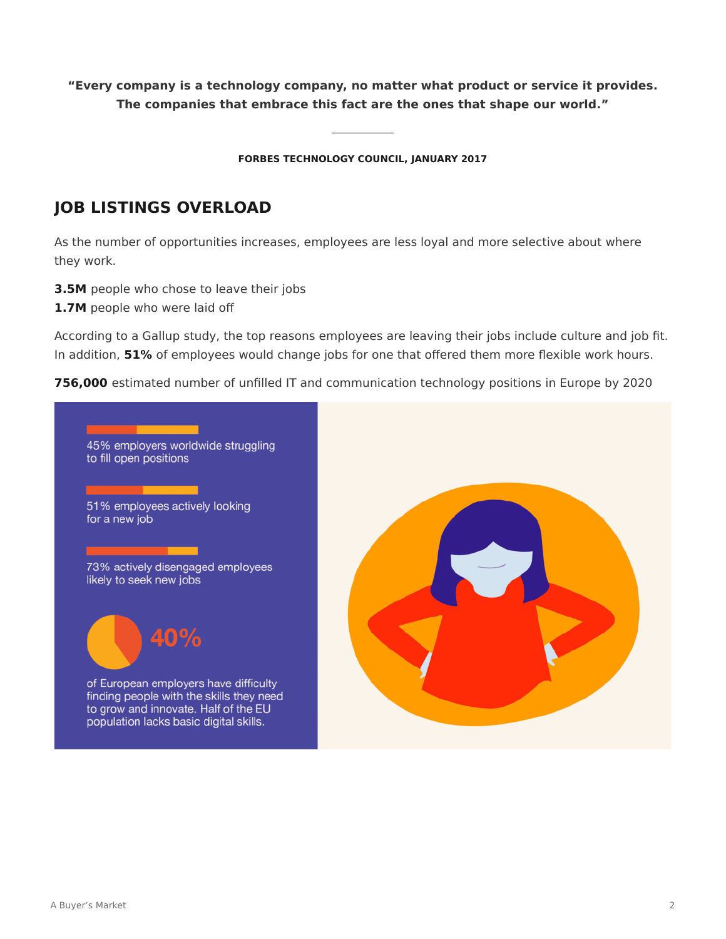**"Every company is a technology company, no matter what product or service it provides. The companies that embrace this fact are the ones that shape our world."**

**FORBES TECHNOLOGY COUNCIL, JANUARY 2017**

## **JOB LISTINGS OVERLOAD**

As the number of opportunities increases, employees are less loyal and more selective about where they work.

- **3.5M** people who chose to leave their jobs
- **1.7M** people who were laid off

According to a Gallup study, the top reasons employees are leaving their jobs include culture and job fit. In addition, **51%** of employees would change jobs for one that offered them more flexible work hours.

**756,000** estimated number of unfilled IT and communication technology positions in Europe by 2020

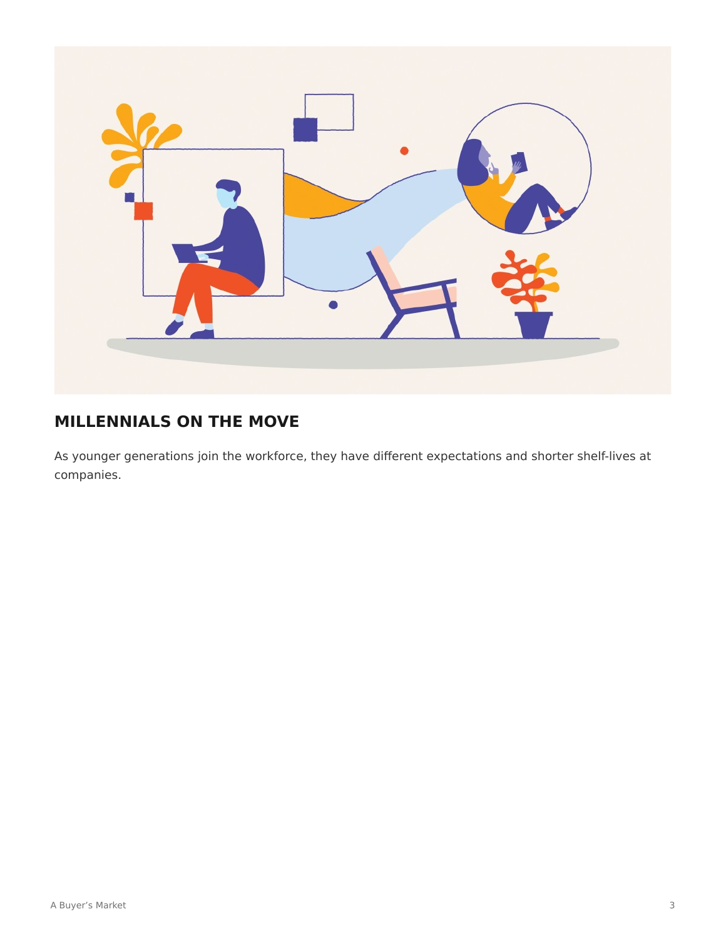

# **MILLENNIALS ON THE MOVE**

As younger generations join the workforce, they have different expectations and shorter shelf-lives at companies.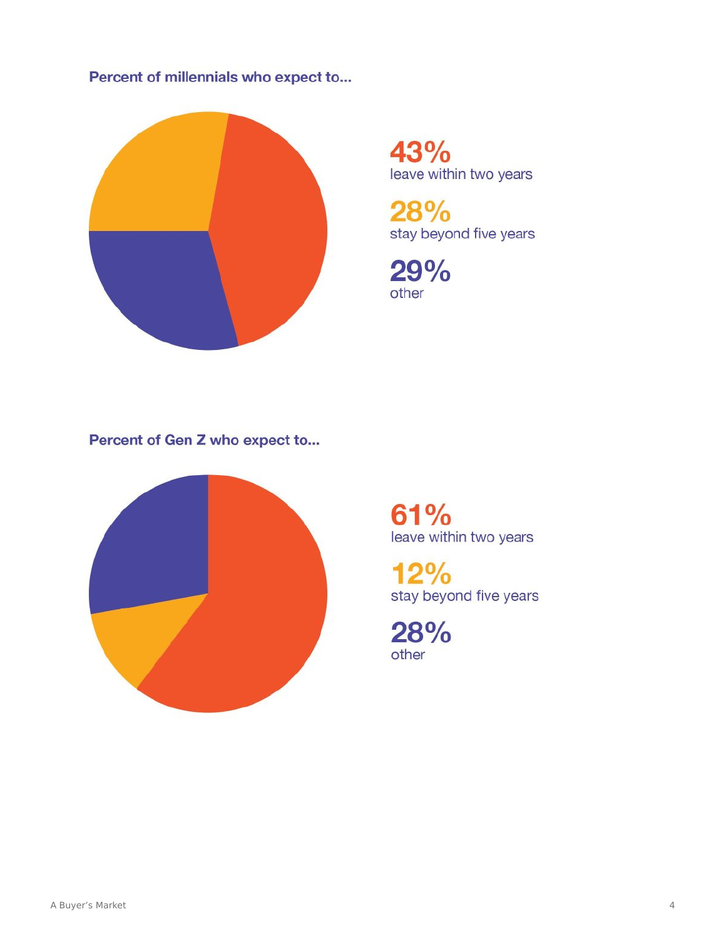### Percent of millennials who expect to...



43% leave within two years

28% stay beyond five years

29% other

Percent of Gen Z who expect to...



61% leave within two years

 $12%$ stay beyond five years

28% other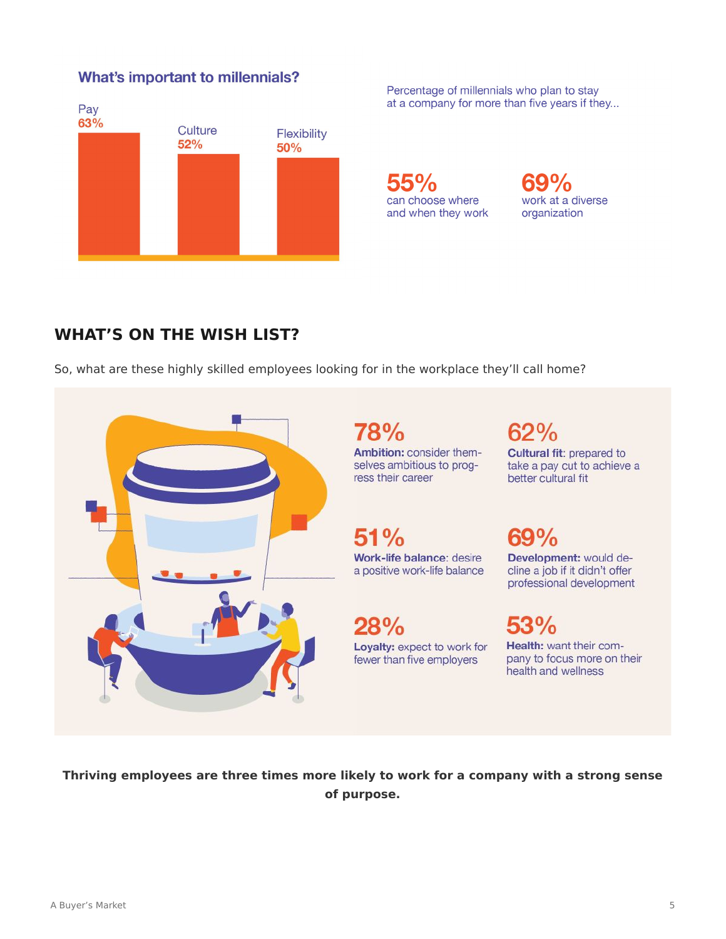#### **What's important to millennials?**



Percentage of millennials who plan to stay at a company for more than five years if they...

**55%** can choose where and when they work



## **WHAT'S ON THE WISH LIST?**

So, what are these highly skilled employees looking for in the workplace they'll call home?



**Thriving employees are three times more likely to work for a company with a strong sense of purpose.**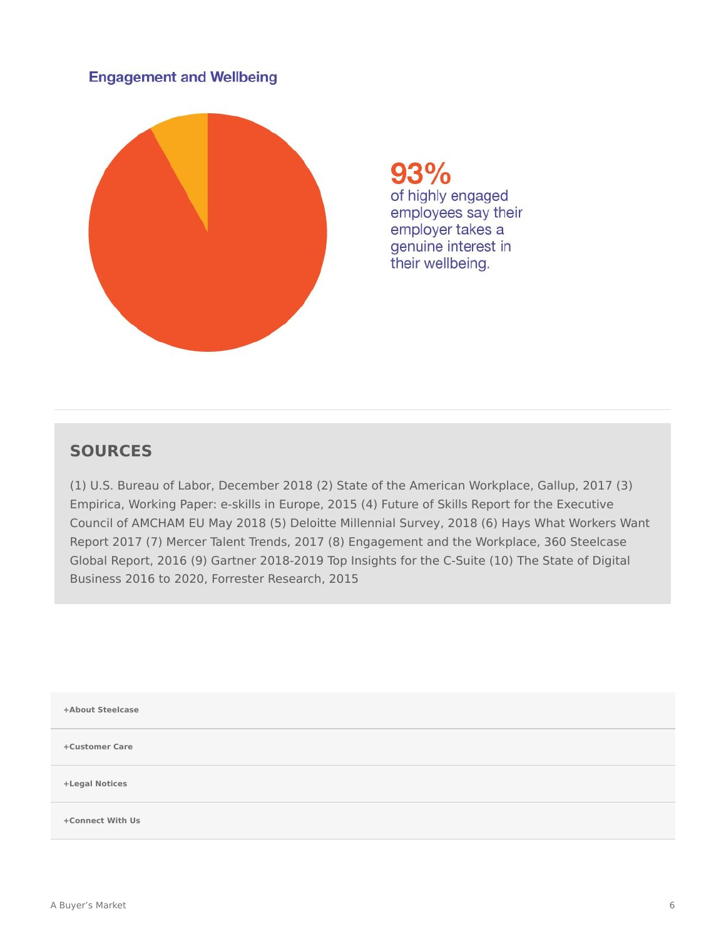#### **Engagement and Wellbeing**



93% of highly engaged employees say their employer takes a genuine interest in their wellbeing.

## **SOURCES**

(1) U.S. Bureau of Labor, December 2018 (2) State of the American Workplace, Gallup, 2017 (3) Empirica, Working Paper: e-skills in Europe, 2015 (4) Future of Skills Report for the Executive Council of AMCHAM EU May 2018 (5) Deloitte Millennial Survey, 2018 (6) Hays What Workers Want Report 2017 (7) Mercer Talent Trends, 2017 (8) Engagement and the Workplace, 360 Steelcase Global Report, 2016 (9) Gartner 2018-2019 Top Insights for the C-Suite (10) The State of Digital Business 2016 to 2020, Forrester Research, 2015

| +About Steelcase |
|------------------|
| +Customer Care   |
| +Legal Notices   |
| +Connect With Us |